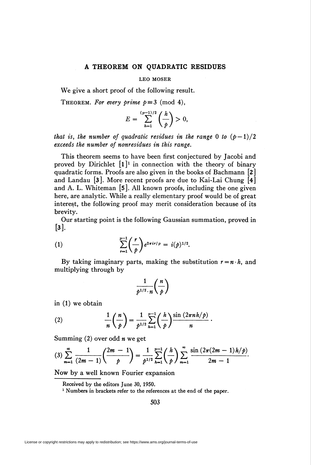## A THEOREM ON QUADRATIC RESIDUES

## LEO MOSER

We give a short proof of the following result.

THEOREM. For every prime  $p \equiv 3 \pmod{4}$ ,

$$
E = \sum_{h=1}^{(p-1)/2} \left(\frac{h}{p}\right) > 0,
$$

that is, the number of quadratic residues in the range 0 to  $(p-1)/2$ exceeds the number of nonresidues in this range.

This theorem seems to have been first conjectured by Jacobi and proved by Dirichlet  $[1]^1$  in connection with the theory of binary quadratic forms. Proofs are also given in the books of Bachmann [2] and Landau  $\left[3\right]$ . More recent proofs are due to Kai-Lai Chung  $\left[4\right]$ and A. L. Whiteman [S]. All known proofs, including the one given here, are analytic. While a really elementary proof would be of great interest, the following proof may merit consideration because of its brevity.

Our starting point is the following Gaussian summation, proved in  $\lceil 3 \rceil$ .

(1) 
$$
\sum_{r=1}^{p-1} \binom{r}{p} e^{2\pi i r/p} = i(p)^{1/2}.
$$

By taking imaginary parts, making the substitution  $r = n \cdot h$ , and multiplying through by

$$
\frac{1}{p^{1/2}\cdot n}\binom{n}{p}
$$

in (1) we obtain

(2) 
$$
\frac{1}{n} \left( \frac{n}{p} \right) = \frac{1}{p^{1/2}} \sum_{h=1}^{p-1} \left( \frac{h}{p} \right) \frac{\sin (2\pi nh/p)}{n}.
$$

Summing  $(2)$  over odd *n* we get

$$
(3)\sum_{m=1}^{\infty}\frac{1}{(2m-1)}\left(\frac{2m-1}{p}\right)=\frac{1}{p^{1/2}}\sum_{h=1}^{p-1}\left(\frac{h}{p}\right)\sum_{m=1}^{\infty}\frac{\sin(2\pi(2m-1)h/p)}{2m-1}.
$$

Now by a well known Fourier expansion

Received by the editors June 30, 1950.

<sup>1</sup> Numbers in brackets refer to the references at the end of the paper.

503